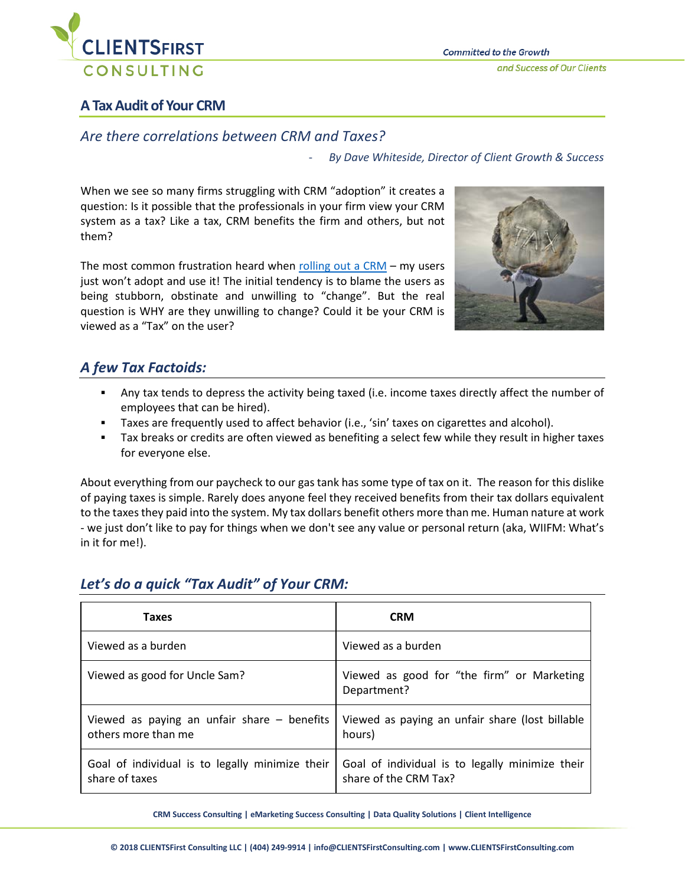

### **A Tax Audit of Your CRM**

### *Are there correlations between CRM and Taxes?*

- *By Dave Whiteside, Director of Client Growth & Success*

When we see so many firms struggling with CRM "adoption" it creates a question: Is it possible that the professionals in your firm view your CRM system as a tax? Like a tax, CRM benefits the firm and others, but not them?

The most common frustration heard when [rolling out a CRM](https://clientsfirstconsulting.com/services/client-relationship-management/selecting-crm/) – my users just won't adopt and use it! The initial tendency is to blame the users as being stubborn, obstinate and unwilling to "change". But the real question is WHY are they unwilling to change? Could it be your CRM is viewed as a "Tax" on the user?



## *A few Tax Factoids:*

- Any tax tends to depress the activity being taxed (i.e. income taxes directly affect the number of employees that can be hired).
- Taxes are frequently used to affect behavior (i.e., 'sin' taxes on cigarettes and alcohol).
- Tax breaks or credits are often viewed as benefiting a select few while they result in higher taxes for everyone else.

About everything from our paycheck to our gas tank has some type of tax on it. The reason for this dislike of paying taxes is simple. Rarely does anyone feel they received benefits from their tax dollars equivalent to the taxes they paid into the system. My tax dollars benefit others more than me. Human nature at work - we just don't like to pay for things when we don't see any value or personal return (aka, WIIFM: What's in it for me!).

| <b>Taxes</b>                                                         | <b>CRM</b>                                                               |
|----------------------------------------------------------------------|--------------------------------------------------------------------------|
| Viewed as a burden                                                   | Viewed as a burden                                                       |
| Viewed as good for Uncle Sam?                                        | Viewed as good for "the firm" or Marketing<br>Department?                |
| Viewed as paying an unfair share $-$ benefits<br>others more than me | Viewed as paying an unfair share (lost billable<br>hours)                |
| Goal of individual is to legally minimize their<br>share of taxes    | Goal of individual is to legally minimize their<br>share of the CRM Tax? |

# *Let's do a quick "Tax Audit" of Your CRM:*

**CRM Success Consulting | eMarketing Success Consulting | Data Quality Solutions | Client Intelligence**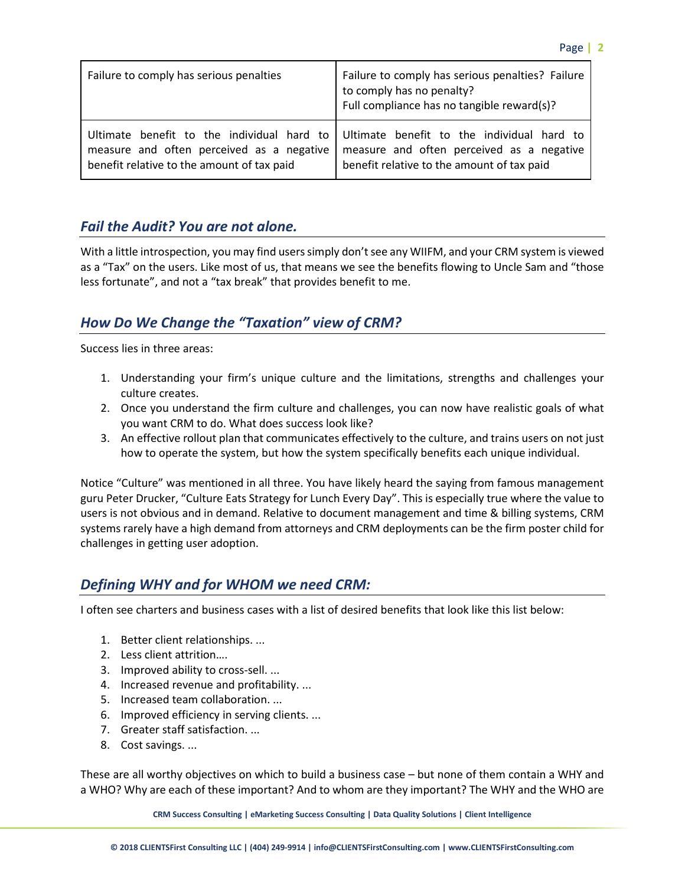| Failure to comply has serious penalties                                                 | Failure to comply has serious penalties? Failure<br>to comply has no penalty?<br>Full compliance has no tangible reward(s)?                                                      |
|-----------------------------------------------------------------------------------------|----------------------------------------------------------------------------------------------------------------------------------------------------------------------------------|
| measure and often perceived as a negative<br>benefit relative to the amount of tax paid | Ultimate benefit to the individual hard to Ultimate benefit to the individual hard to<br>measure and often perceived as a negative<br>benefit relative to the amount of tax paid |

#### *Fail the Audit? You are not alone.*

With a little introspection, you may find users simply don't see any WIIFM, and your CRM system is viewed as a "Tax" on the users. Like most of us, that means we see the benefits flowing to Uncle Sam and "those less fortunate", and not a "tax break" that provides benefit to me.

### *How Do We Change the "Taxation" view of CRM?*

Success lies in three areas:

- 1. Understanding your firm's unique culture and the limitations, strengths and challenges your culture creates.
- 2. Once you understand the firm culture and challenges, you can now have realistic goals of what you want CRM to do. What does success look like?
- 3. An effective rollout plan that communicates effectively to the culture, and trains users on not just how to operate the system, but how the system specifically benefits each unique individual.

Notice "Culture" was mentioned in all three. You have likely heard the saying from famous management guru Peter Drucker, "Culture Eats Strategy for Lunch Every Day". This is especially true where the value to users is not obvious and in demand. Relative to document management and time & billing systems, CRM systems rarely have a high demand from attorneys and CRM deployments can be the firm poster child for challenges in getting user adoption.

### *Defining WHY and for WHOM we need CRM:*

I often see charters and business cases with a list of desired benefits that look like this list below:

- 1. Better client relationships. ...
- 2. Less client attrition….
- 3. Improved ability to cross-sell. ...
- 4. Increased revenue and profitability. ...
- 5. Increased team collaboration. ...
- 6. Improved efficiency in serving clients. ...
- 7. Greater staff satisfaction. ...
- 8. Cost savings. ...

These are all worthy objectives on which to build a business case – but none of them contain a WHY and a WHO? Why are each of these important? And to whom are they important? The WHY and the WHO are

**CRM Success Consulting | eMarketing Success Consulting | Data Quality Solutions | Client Intelligence**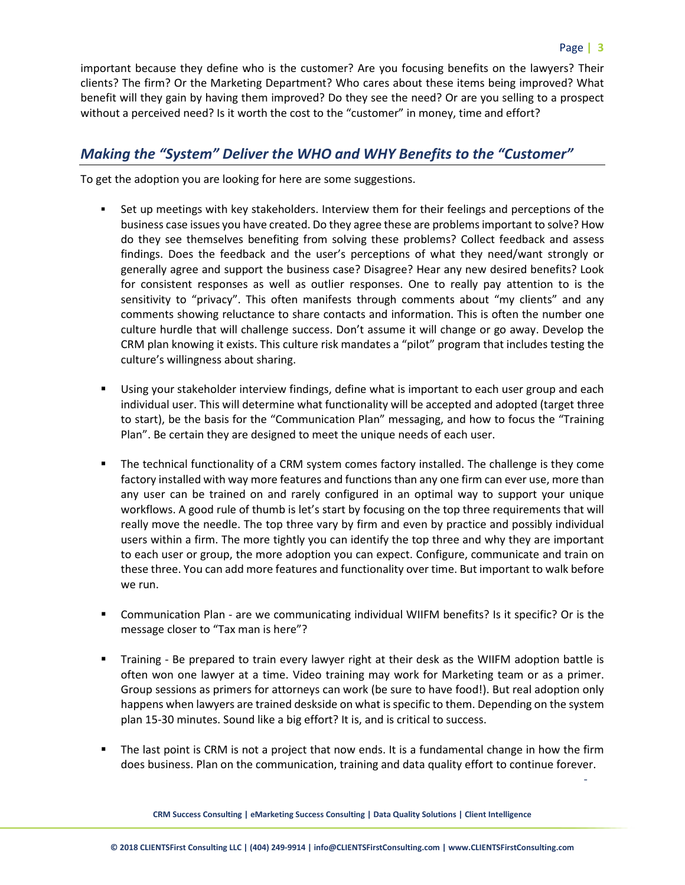-

important because they define who is the customer? Are you focusing benefits on the lawyers? Their clients? The firm? Or the Marketing Department? Who cares about these items being improved? What benefit will they gain by having them improved? Do they see the need? Or are you selling to a prospect without a perceived need? Is it worth the cost to the "customer" in money, time and effort?

#### *Making the "System" Deliver the WHO and WHY Benefits to the "Customer"*

To get the adoption you are looking for here are some suggestions.

- Set up meetings with key stakeholders. Interview them for their feelings and perceptions of the business case issues you have created. Do they agree these are problems important to solve? How do they see themselves benefiting from solving these problems? Collect feedback and assess findings. Does the feedback and the user's perceptions of what they need/want strongly or generally agree and support the business case? Disagree? Hear any new desired benefits? Look for consistent responses as well as outlier responses. One to really pay attention to is the sensitivity to "privacy". This often manifests through comments about "my clients" and any comments showing reluctance to share contacts and information. This is often the number one culture hurdle that will challenge success. Don't assume it will change or go away. Develop the CRM plan knowing it exists. This culture risk mandates a "pilot" program that includes testing the culture's willingness about sharing.
- Using your stakeholder interview findings, define what is important to each user group and each individual user. This will determine what functionality will be accepted and adopted (target three to start), be the basis for the "Communication Plan" messaging, and how to focus the "Training Plan". Be certain they are designed to meet the unique needs of each user.
- The technical functionality of a CRM system comes factory installed. The challenge is they come factory installed with way more features and functions than any one firm can ever use, more than any user can be trained on and rarely configured in an optimal way to support your unique workflows. A good rule of thumb is let's start by focusing on the top three requirements that will really move the needle. The top three vary by firm and even by practice and possibly individual users within a firm. The more tightly you can identify the top three and why they are important to each user or group, the more adoption you can expect. Configure, communicate and train on these three. You can add more features and functionality over time. But important to walk before we run.
- Communication Plan are we communicating individual WIIFM benefits? Is it specific? Or is the message closer to "Tax man is here"?
- Training Be prepared to train every lawyer right at their desk as the WIIFM adoption battle is often won one lawyer at a time. Video training may work for Marketing team or as a primer. Group sessions as primers for attorneys can work (be sure to have food!). But real adoption only happens when lawyers are trained deskside on what is specific to them. Depending on the system plan 15-30 minutes. Sound like a big effort? It is, and is critical to success.
- The last point is CRM is not a project that now ends. It is a fundamental change in how the firm does business. Plan on the communication, training and data quality effort to continue forever.

**CRM Success Consulting | eMarketing Success Consulting | Data Quality Solutions | Client Intelligence**